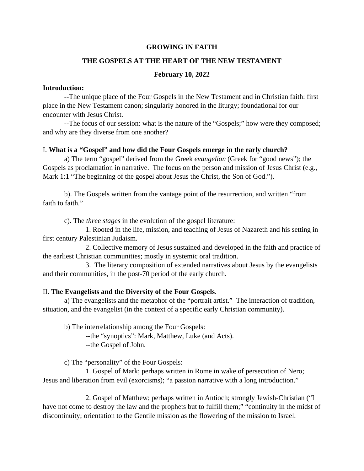# **GROWING IN FAITH**

### **THE GOSPELS AT THE HEART OF THE NEW TESTAMENT**

# **February 10, 2022**

### **Introduction:**

 --The unique place of the Four Gospels in the New Testament and in Christian faith: first place in the New Testament canon; singularly honored in the liturgy; foundational for our encounter with Jesus Christ.

 --The focus of our session: what is the nature of the "Gospels;" how were they composed; and why are they diverse from one another?

# I. **What is a "Gospel" and how did the Four Gospels emerge in the early church?**

a) The term "gospel" derived from the Greek *evangelion* (Greek for "good news"); the Gospels as proclamation in narrative. The focus on the person and mission of Jesus Christ (e.g., Mark 1:1 "The beginning of the gospel about Jesus the Christ, the Son of God.").

 b). The Gospels written from the vantage point of the resurrection, and written "from faith to faith."

c). The *three stages* in the evolution of the gospel literature:

 1. Rooted in the life, mission, and teaching of Jesus of Nazareth and his setting in first century Palestinian Judaism.

 2. Collective memory of Jesus sustained and developed in the faith and practice of the earliest Christian communities; mostly in systemic oral tradition.

 3. The literary composition of extended narratives about Jesus by the evangelists and their communities, in the post-70 period of the early church.

# II. **The Evangelists and the Diversity of the Four Gospels**.

 a) The evangelists and the metaphor of the "portrait artist." The interaction of tradition, situation, and the evangelist (in the context of a specific early Christian community).

b) The interrelationship among the Four Gospels:

 --the "synoptics": Mark, Matthew, Luke (and Acts). --the Gospel of John.

c) The "personality" of the Four Gospels:

 1. Gospel of Mark; perhaps written in Rome in wake of persecution of Nero; Jesus and liberation from evil (exorcisms); "a passion narrative with a long introduction."

 2. Gospel of Matthew; perhaps written in Antioch; strongly Jewish-Christian ("I have not come to destroy the law and the prophets but to fulfill them;" "continuity in the midst of discontinuity; orientation to the Gentile mission as the flowering of the mission to Israel.